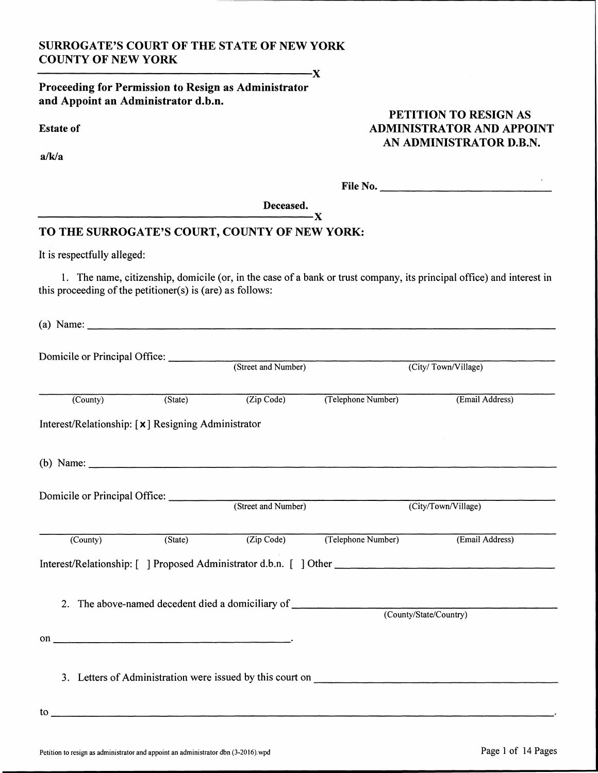### **SURROGATE'S COURT OF THE STATE OF NEW YORK COUNTY OF NEW YORK**

Proceeding for Permission to Resign as Administrator and Appoint an Administrator d.b.n.

**Estate of** 

 $a/k/a$ 

### PETITION TO RESIGN AS **ADMINISTRATOR AND APPOINT** AN ADMINISTRATOR D.B.N.

| File No. |  |  |
|----------|--|--|
|          |  |  |
|          |  |  |

Deceased.  $-\mathbf{X}$ 

 $-\mathbf{X}$ 

### TO THE SURROGATE'S COURT, COUNTY OF NEW YORK:

It is respectfully alleged:

1. The name, citizenship, domicile (or, in the case of a bank or trust company, its principal office) and interest in this proceeding of the petitioner(s) is (are) as follows:

(a) Name:  $\frac{1}{\sqrt{1-\frac{1}{2}}\sqrt{1-\frac{1}{2}}\sqrt{1-\frac{1}{2}}\sqrt{1-\frac{1}{2}}}}$ 

| Domicile or Principal Office:                      |                             |                                                                                                                                                                                                                                                                                                                   |                                                                                                      |                     |  |
|----------------------------------------------------|-----------------------------|-------------------------------------------------------------------------------------------------------------------------------------------------------------------------------------------------------------------------------------------------------------------------------------------------------------------|------------------------------------------------------------------------------------------------------|---------------------|--|
|                                                    |                             | (Street and Number)                                                                                                                                                                                                                                                                                               |                                                                                                      | (City/Town/Village) |  |
| $\overline{(Country)}$                             | $(\text{State})$            | (Zip Code)                                                                                                                                                                                                                                                                                                        | (Telephone Number)                                                                                   | (Email Address)     |  |
| Interest/Relationship: [x] Resigning Administrator |                             |                                                                                                                                                                                                                                                                                                                   |                                                                                                      |                     |  |
|                                                    |                             | (b) Name: $\frac{1}{2}$ Name: $\frac{1}{2}$ $\frac{1}{2}$ $\frac{1}{2}$ $\frac{1}{2}$ $\frac{1}{2}$ $\frac{1}{2}$ $\frac{1}{2}$ $\frac{1}{2}$ $\frac{1}{2}$ $\frac{1}{2}$ $\frac{1}{2}$ $\frac{1}{2}$ $\frac{1}{2}$ $\frac{1}{2}$ $\frac{1}{2}$ $\frac{1}{2}$ $\frac{1}{2}$ $\frac{1}{2}$ $\frac{1}{2}$ $\frac{1$ |                                                                                                      |                     |  |
|                                                    |                             |                                                                                                                                                                                                                                                                                                                   |                                                                                                      |                     |  |
|                                                    |                             | Domicile or Principal Office: (Street and Number)                                                                                                                                                                                                                                                                 |                                                                                                      | (City/Town/Village) |  |
| $\overline{\text{(Country)}}$                      | $\overline{\text{(State)}}$ | (Zip Code)                                                                                                                                                                                                                                                                                                        | (Telephone Number)                                                                                   | (Email Address)     |  |
|                                                    |                             |                                                                                                                                                                                                                                                                                                                   | Interest/Relationship: [ ] Proposed Administrator d.b.n. [ ] Other _________________________________ |                     |  |
|                                                    |                             |                                                                                                                                                                                                                                                                                                                   | 2. The above-named decedent died a domiciliary of ______________________________                     |                     |  |
|                                                    |                             |                                                                                                                                                                                                                                                                                                                   | (County/State/Country)                                                                               |                     |  |
| on $\overline{\phantom{a}}$                        |                             |                                                                                                                                                                                                                                                                                                                   |                                                                                                      |                     |  |
|                                                    |                             |                                                                                                                                                                                                                                                                                                                   |                                                                                                      |                     |  |
|                                                    |                             |                                                                                                                                                                                                                                                                                                                   | 3. Letters of Administration were issued by this court on                                            |                     |  |
| to                                                 |                             |                                                                                                                                                                                                                                                                                                                   |                                                                                                      |                     |  |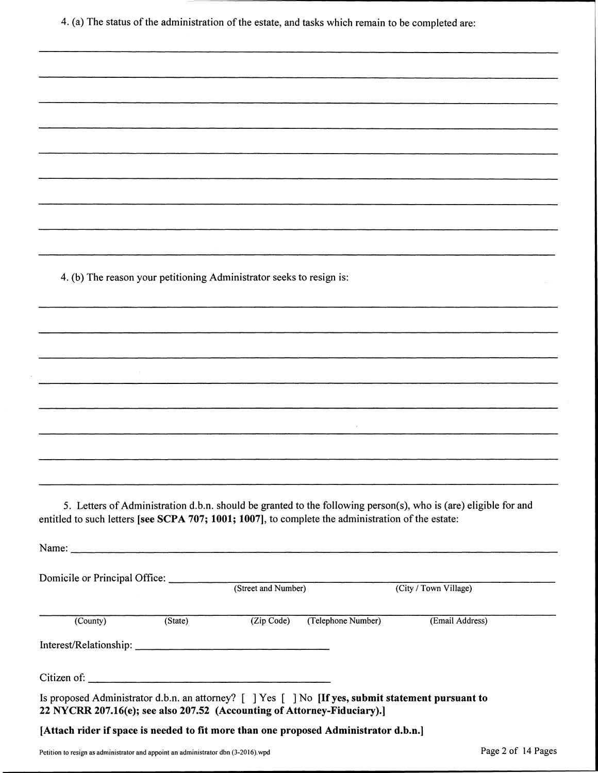4. (a) The status of the administration of the estate, and tasks which remain to be completed are:

4. (b) The reason your petitioning Administrator seeks to resign is:

5. Letters of Administration d.b.n. should be granted to the following person(s), who is (are) eligible for and entitled to such letters [see SCPA 707; 1001; 1007], to complete the administration of the estate:

 $\lambda$ 

Name:  $\frac{1}{\sqrt{1-\frac{1}{2}}\cdot\frac{1}{2}}$ Domicile or Principal Office: (Street and Number) (City / Town Village)  $(Zip Code)$ (Telephone Number) (Email Address)  $(State)$ (County) Citizen of: Is proposed Administrator d.b.n. an attorney? [ ] Yes [ ] No [If yes, submit statement pursuant to 22 NYCRR 207.16(e); see also 207.52 (Accounting of Attorney-Fiduciary).] [Attach rider if space is needed to fit more than one proposed Administrator d.b.n.]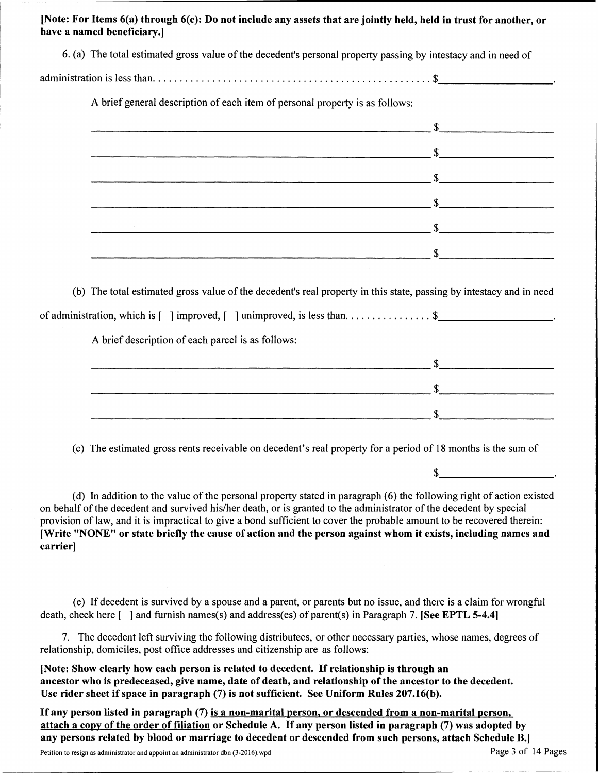[Note: For Items 6(a) through 6(c): Do not include any assets that are jointly held, held in trust for another, or have a named beneficiary.

| 6. (a) The total estimated gross value of the decedent's personal property passing by intestacy and in need of                                                                                                                       |  |
|--------------------------------------------------------------------------------------------------------------------------------------------------------------------------------------------------------------------------------------|--|
|                                                                                                                                                                                                                                      |  |
| A brief general description of each item of personal property is as follows:                                                                                                                                                         |  |
| <u>5 September - Andrea September - Andrea September - September - September - September - September - September - September - September - September - September - September - September - September - September - September - S</u> |  |
|                                                                                                                                                                                                                                      |  |
|                                                                                                                                                                                                                                      |  |
|                                                                                                                                                                                                                                      |  |
|                                                                                                                                                                                                                                      |  |
|                                                                                                                                                                                                                                      |  |
| (b) The total estimated gross value of the decedent's real property in this state, passing by intestacy and in need                                                                                                                  |  |
| of administration, which is [ ] improved, [ ] unimproved, is less than\$                                                                                                                                                             |  |
| A brief description of each parcel is as follows:                                                                                                                                                                                    |  |
|                                                                                                                                                                                                                                      |  |
|                                                                                                                                                                                                                                      |  |
| <u>s se a seu constructo de la constructo de la constructo de la constructo de la constructo de la constructo de la constructo de la constructo de la constructo de la constructo de la constructo de la constructo de la constr</u> |  |

(c) The estimated gross rents receivable on decedent's real property for a period of 18 months is the sum of

 $\mathbb{S}$ 

(d) In addition to the value of the personal property stated in paragraph (6) the following right of action existed on behalf of the decedent and survived his/her death, or is granted to the administrator of the decedent by special provision of law, and it is impractical to give a bond sufficient to cover the probable amount to be recovered therein: [Write "NONE" or state briefly the cause of action and the person against whom it exists, including names and carrier]

(e) If decedent is survived by a spouse and a parent, or parents but no issue, and there is a claim for wrongful death, check here  $\lceil$  and furnish names(s) and address(es) of parent(s) in Paragraph 7. [See EPTL 5-4.4]

7. The decedent left surviving the following distributees, or other necessary parties, whose names, degrees of relationship, domiciles, post office addresses and citizenship are as follows:

[Note: Show clearly how each person is related to decedent. If relationship is through an ancestor who is predeceased, give name, date of death, and relationship of the ancestor to the decedent. Use rider sheet if space in paragraph (7) is not sufficient. See Uniform Rules 207.16(b).

If any person listed in paragraph (7) is a non-marital person, or descended from a non-marital person, attach a copy of the order of filiation or Schedule A. If any person listed in paragraph (7) was adopted by any persons related by blood or marriage to decedent or descended from such persons, attach Schedule B.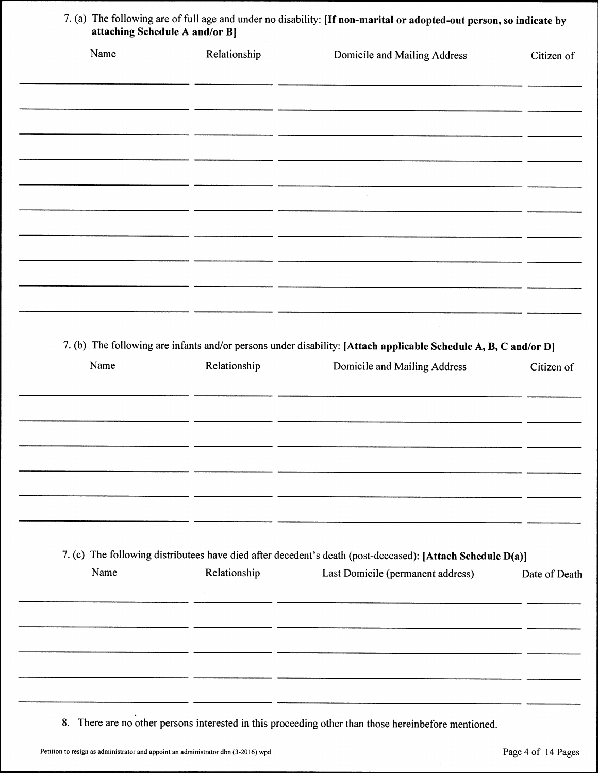| Name | Relationship | Domicile and Mailing Address                                                                                                                                                                                                   | Citizen of    |
|------|--------------|--------------------------------------------------------------------------------------------------------------------------------------------------------------------------------------------------------------------------------|---------------|
|      |              |                                                                                                                                                                                                                                |               |
|      |              |                                                                                                                                                                                                                                |               |
|      |              |                                                                                                                                                                                                                                |               |
|      |              |                                                                                                                                                                                                                                |               |
|      |              |                                                                                                                                                                                                                                |               |
|      | - -          | ntill and the second state of the second control of the control of the control of the control of the control of the control of the control of the control of the control of the control of the control of the control of the c |               |
|      |              |                                                                                                                                                                                                                                |               |
|      |              |                                                                                                                                                                                                                                |               |
|      |              |                                                                                                                                                                                                                                |               |
|      |              | <u> 1988 - 1989 - 1989 - 1989 - 1989 - 1989 - 1989 - 1989 - 1989 - 1989 - 1989 - 1989 - 1989 - 1980 - 1980 - 1980 - 19</u>                                                                                                     |               |
|      |              |                                                                                                                                                                                                                                |               |
|      | - -          | <u> 1989 - Andrea Stadt Branden, amerikansk politiker (d. 1989)</u>                                                                                                                                                            |               |
|      |              |                                                                                                                                                                                                                                |               |
|      |              |                                                                                                                                                                                                                                |               |
|      |              |                                                                                                                                                                                                                                |               |
|      |              |                                                                                                                                                                                                                                |               |
|      |              | 7. (b) The following are infants and/or persons under disability: [Attach applicable Schedule A, B, C and/or D]                                                                                                                |               |
| Name | Relationship | Domicile and Mailing Address                                                                                                                                                                                                   | Citizen of    |
|      |              |                                                                                                                                                                                                                                |               |
|      |              | <u> 1989 - Jan Barnett, fransk politiker (d. 1989)</u>                                                                                                                                                                         |               |
|      |              |                                                                                                                                                                                                                                |               |
|      |              |                                                                                                                                                                                                                                |               |
|      |              |                                                                                                                                                                                                                                |               |
|      |              |                                                                                                                                                                                                                                |               |
|      |              |                                                                                                                                                                                                                                |               |
|      |              |                                                                                                                                                                                                                                |               |
|      |              |                                                                                                                                                                                                                                |               |
|      |              |                                                                                                                                                                                                                                |               |
|      |              | 7. (c) The following distributees have died after decedent's death (post-deceased): [Attach Schedule D(a)]                                                                                                                     |               |
|      | Relationship | Last Domicile (permanent address)                                                                                                                                                                                              | Date of Death |
| Name |              |                                                                                                                                                                                                                                |               |
|      |              |                                                                                                                                                                                                                                |               |
|      |              |                                                                                                                                                                                                                                |               |
|      |              |                                                                                                                                                                                                                                |               |
|      |              |                                                                                                                                                                                                                                |               |
|      |              |                                                                                                                                                                                                                                |               |
|      |              |                                                                                                                                                                                                                                |               |

8. There are no other persons interested in this proceeding other than those hereinbefore mentioned.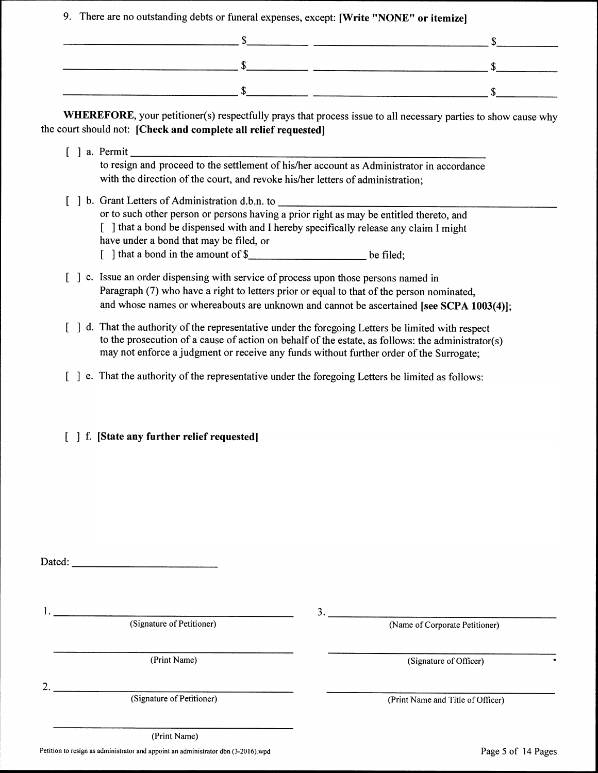9. There are no outstanding debts or funeral expenses, except: [Write "NONE" or itemize]

WHEREFORE, your petitioner(s) respectfully prays that process issue to all necessary parties to show cause why the court should not: [Check and complete all relief requested]

- $\lceil$  a. Permit to resign and proceed to the settlement of his/her account as Administrator in accordance with the direction of the court, and revoke his/her letters of administration;
- [ ] b. Grant Letters of Administration d.b.n. to or to such other person or persons having a prior right as may be entitled thereto, and [ ] that a bond be dispensed with and I hereby specifically release any claim I might have under a bond that may be filed, or  $\lceil$  1 that a bond in the amount of \$ be filed:
- [ ] c. Issue an order dispensing with service of process upon those persons named in Paragraph (7) who have a right to letters prior or equal to that of the person nominated, and whose names or whereabouts are unknown and cannot be ascertained [see SCPA 1003(4)];
- [ ] d. That the authority of the representative under the foregoing Letters be limited with respect to the prosecution of a cause of action on behalf of the estate, as follows: the administrator(s) may not enforce a judgment or receive any funds without further order of the Surrogate;
- [ ] e. That the authority of the representative under the foregoing Letters be limited as follows:
- [ ] f. [State any further relief requested]

(Signature of Petitioner)

(Print Name)

 $2.$ 

(Signature of Petitioner)

(Print Name) Petition to resign as administrator and appoint an administrator dbn (3-2016) wpd  $3.$ 

(Name of Corporate Petitioner)

(Signature of Officer)

(Print Name and Title of Officer)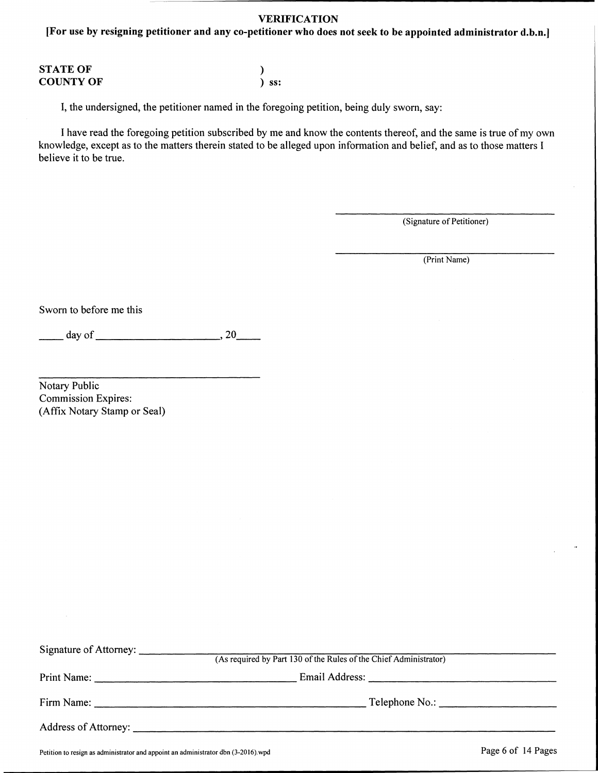#### **VERIFICATION**

[For use by resigning petitioner and any co-petitioner who does not seek to be appointed administrator d.b.n.]

| <b>STATE OF</b>  |         |
|------------------|---------|
| <b>COUNTY OF</b> | $)$ ss: |

I, the undersigned, the petitioner named in the foregoing petition, being duly sworn, say:

I have read the foregoing petition subscribed by me and know the contents thereof, and the same is true of my own knowledge, except as to the matters therein stated to be alleged upon information and belief, and as to those matters I believe it to be true.

(Signature of Petitioner)

(Print Name)

Sworn to before me this

Notary Public **Commission Expires:** (Affix Notary Stamp or Seal)

| Signature of Attorney: (As required by Part 130 of the Rules of the Chief Administrator) |
|------------------------------------------------------------------------------------------|
|                                                                                          |
|                                                                                          |
|                                                                                          |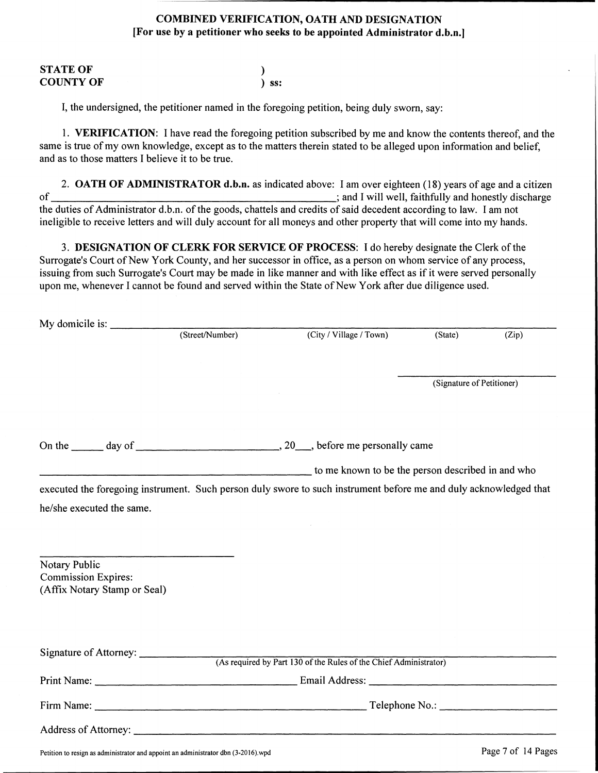#### **COMBINED VERIFICATION, OATH AND DESIGNATION** [For use by a petitioner who seeks to be appointed Administrator d.b.n.]

| <b>STATE OF</b>  |            |
|------------------|------------|
| <b>COUNTY OF</b> | $\sum$ SS: |

I, the undersigned, the petitioner named in the foregoing petition, being duly sworn, say:

1. VERIFICATION: I have read the foregoing petition subscribed by me and know the contents thereof, and the same is true of my own knowledge, except as to the matters therein stated to be alleged upon information and belief, and as to those matters I believe it to be true.

2. OATH OF ADMINISTRATOR d.b.n. as indicated above: I am over eighteen (18) years of age and a citizen  $\sigma$ f ; and I will well, faithfully and honestly discharge the duties of Administrator d.b.n. of the goods, chattels and credits of said decedent according to law. I am not ineligible to receive letters and will duly account for all moneys and other property that will come into my hands.

3. DESIGNATION OF CLERK FOR SERVICE OF PROCESS: I do hereby designate the Clerk of the Surrogate's Court of New York County, and her successor in office, as a person on whom service of any process, issuing from such Surrogate's Court may be made in like manner and with like effect as if it were served personally upon me, whenever I cannot be found and served within the State of New York after due diligence used.

|                              | (Street/Number) | (City / Village / Town)                                                                                                                                                                                                        | (State)                   | (Zip) |
|------------------------------|-----------------|--------------------------------------------------------------------------------------------------------------------------------------------------------------------------------------------------------------------------------|---------------------------|-------|
|                              |                 |                                                                                                                                                                                                                                |                           |       |
|                              |                 |                                                                                                                                                                                                                                |                           |       |
|                              |                 |                                                                                                                                                                                                                                | (Signature of Petitioner) |       |
|                              |                 |                                                                                                                                                                                                                                |                           |       |
|                              |                 |                                                                                                                                                                                                                                |                           |       |
|                              |                 | On the day of determining the set of the set of the day of the set of the set of the set of the set of the set of the set of the set of the set of the set of the set of the set of the set of the set of the set of the set o |                           |       |
|                              |                 | to me known to be the person described in and who                                                                                                                                                                              |                           |       |
|                              |                 | executed the foregoing instrument. Such person duly swore to such instrument before me and duly acknowledged that                                                                                                              |                           |       |
| he/she executed the same.    |                 |                                                                                                                                                                                                                                |                           |       |
|                              |                 |                                                                                                                                                                                                                                |                           |       |
|                              |                 |                                                                                                                                                                                                                                |                           |       |
| Notary Public                |                 |                                                                                                                                                                                                                                |                           |       |
| <b>Commission Expires:</b>   |                 |                                                                                                                                                                                                                                |                           |       |
| (Affix Notary Stamp or Seal) |                 |                                                                                                                                                                                                                                |                           |       |
|                              |                 |                                                                                                                                                                                                                                |                           |       |
|                              |                 |                                                                                                                                                                                                                                |                           |       |
|                              |                 |                                                                                                                                                                                                                                |                           |       |
|                              |                 | (As required by Part 130 of the Rules of the Chief Administrator)                                                                                                                                                              |                           |       |
|                              |                 |                                                                                                                                                                                                                                |                           |       |
|                              |                 |                                                                                                                                                                                                                                |                           |       |
|                              |                 |                                                                                                                                                                                                                                |                           |       |
|                              |                 |                                                                                                                                                                                                                                |                           |       |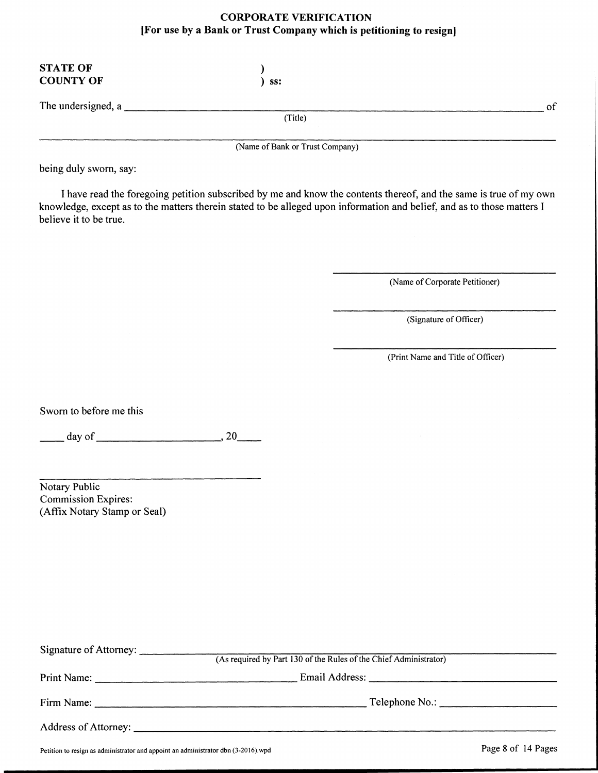#### **CORPORATE VERIFICATION** [For use by a Bank or Trust Company which is petitioning to resign]

| <b>STATE OF</b><br><b>COUNTY OF</b> | SS:                             |    |
|-------------------------------------|---------------------------------|----|
| The undersigned, a                  |                                 | of |
|                                     | (Title)                         |    |
|                                     | (Name of Bank or Trust Company) |    |

being duly sworn, say:

I have read the foregoing petition subscribed by me and know the contents thereof, and the same is true of my own knowledge, except as to the matters therein stated to be alleged upon information and belief, and as to those matters I believe it to be true.

(Name of Corporate Petitioner)

(Signature of Officer)

(Print Name and Title of Officer)

Sworn to before me this

 $day \text{ of }$  20

Notary Public **Commission Expires:** (Affix Notary Stamp or Seal)

| Signature of Attorney: (As required by Part 130 of the Rules of the Chief Administrator) |
|------------------------------------------------------------------------------------------|
|                                                                                          |
|                                                                                          |
|                                                                                          |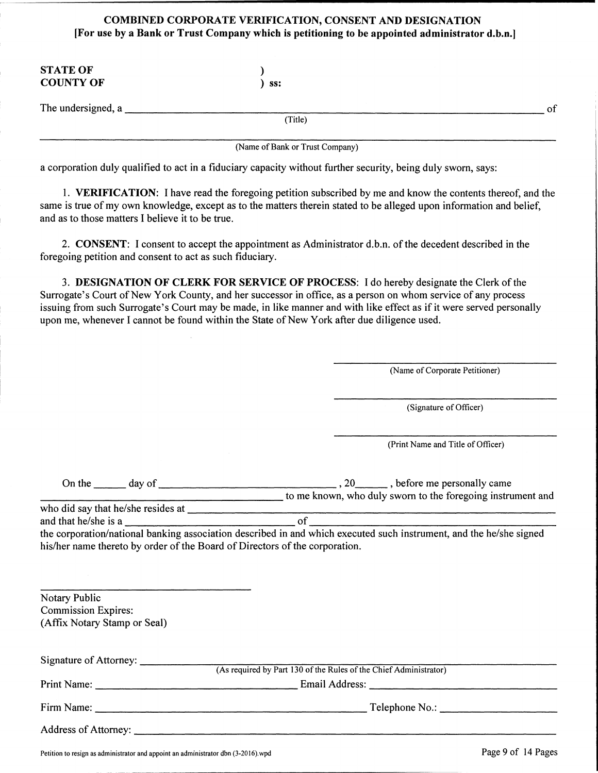#### COMBINED CORPORATE VERIFICATION, CONSENT AND DESIGNATION [For use by a Bank or Trust Company which is petitioning to be appointed administrator d.b.n.]

| <b>STATE OF</b><br><b>COUNTY OF</b> | ss:                             |    |
|-------------------------------------|---------------------------------|----|
| The undersigned, a                  |                                 | of |
|                                     | (Title)                         |    |
|                                     | (Name of Bank or Trust Company) |    |

a corporation duly qualified to act in a fiduciary capacity without further security, being duly sworn, says:

1. VERIFICATION: I have read the foregoing petition subscribed by me and know the contents thereof, and the same is true of my own knowledge, except as to the matters therein stated to be alleged upon information and belief, and as to those matters I believe it to be true.

2. CONSENT: I consent to accept the appointment as Administrator d.b.n. of the decedent described in the foregoing petition and consent to act as such fiduciary.

3. DESIGNATION OF CLERK FOR SERVICE OF PROCESS: I do hereby designate the Clerk of the Surrogate's Court of New York County, and her successor in office, as a person on whom service of any process issuing from such Surrogate's Court may be made, in like manner and with like effect as if it were served personally upon me, whenever I cannot be found within the State of New York after due diligence used.

(Name of Corporate Petitioner)

(Signature of Officer)

(Print Name and Title of Officer)

| $\Im$ n the<br>day of | , before me personally came                                 |
|-----------------------|-------------------------------------------------------------|
|                       | to me known, who duly sworn to the foregoing instrument and |

and that he/she is a of

the corporation/national banking association described in and which executed such instrument, and the he/she signed his/her name thereto by order of the Board of Directors of the corporation.

| Notary Public                |                                                                   |  |
|------------------------------|-------------------------------------------------------------------|--|
| <b>Commission Expires:</b>   |                                                                   |  |
| (Affix Notary Stamp or Seal) |                                                                   |  |
|                              |                                                                   |  |
|                              |                                                                   |  |
|                              | (As required by Part 130 of the Rules of the Chief Administrator) |  |
|                              |                                                                   |  |
|                              |                                                                   |  |
|                              |                                                                   |  |
|                              |                                                                   |  |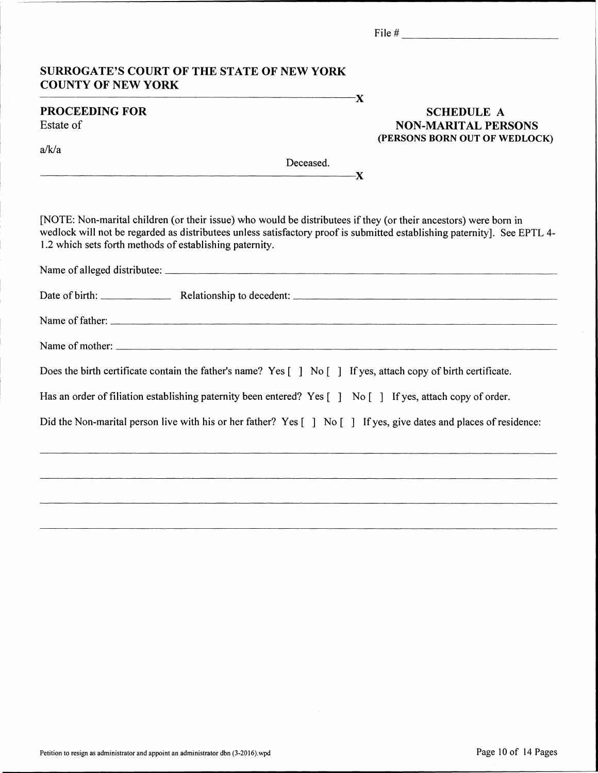| <b>SURROGATE'S COURT OF THE STATE OF NEW YORK</b><br><b>COUNTY OF NEW YORK</b>                                                                                                                                                                                                                                                                                                                                                                                                                        |                                                                                  |
|-------------------------------------------------------------------------------------------------------------------------------------------------------------------------------------------------------------------------------------------------------------------------------------------------------------------------------------------------------------------------------------------------------------------------------------------------------------------------------------------------------|----------------------------------------------------------------------------------|
| -X<br><b>PROCEEDING FOR</b><br>Estate of                                                                                                                                                                                                                                                                                                                                                                                                                                                              | <b>SCHEDULE A</b><br><b>NON-MARITAL PERSONS</b><br>(PERSONS BORN OUT OF WEDLOCK) |
| a/k/a<br>Deceased.<br>$\overline{\phantom{1}}$ $\overline{\phantom{1}}$ $\overline{\phantom{1}}$ $\overline{\phantom{1}}$ $\overline{\phantom{1}}$ $\overline{\phantom{1}}$ $\overline{\phantom{1}}$ $\overline{\phantom{1}}$ $\overline{\phantom{1}}$ $\overline{\phantom{1}}$ $\overline{\phantom{1}}$ $\overline{\phantom{1}}$ $\overline{\phantom{1}}$ $\overline{\phantom{1}}$ $\overline{\phantom{1}}$ $\overline{\phantom{1}}$ $\overline{\phantom{1}}$ $\overline{\phantom{1}}$ $\overline{\$ |                                                                                  |
| [NOTE: Non-marital children (or their issue) who would be distributees if they (or their ancestors) were born in<br>wedlock will not be regarded as distributees unless satisfactory proof is submitted establishing paternity]. See EPTL 4-<br>1.2 which sets forth methods of establishing paternity.                                                                                                                                                                                               |                                                                                  |
|                                                                                                                                                                                                                                                                                                                                                                                                                                                                                                       |                                                                                  |
|                                                                                                                                                                                                                                                                                                                                                                                                                                                                                                       |                                                                                  |
|                                                                                                                                                                                                                                                                                                                                                                                                                                                                                                       |                                                                                  |
|                                                                                                                                                                                                                                                                                                                                                                                                                                                                                                       |                                                                                  |
| Does the birth certificate contain the father's name? Yes $\begin{bmatrix} 1 \\ N_0 \end{bmatrix}$ If yes, attach copy of birth certificate.                                                                                                                                                                                                                                                                                                                                                          |                                                                                  |
| Has an order of filiation establishing paternity been entered? Yes [] No [] If yes, attach copy of order.                                                                                                                                                                                                                                                                                                                                                                                             |                                                                                  |
| Did the Non-marital person live with his or her father? Yes [] No [] If yes, give dates and places of residence:                                                                                                                                                                                                                                                                                                                                                                                      |                                                                                  |
|                                                                                                                                                                                                                                                                                                                                                                                                                                                                                                       |                                                                                  |
|                                                                                                                                                                                                                                                                                                                                                                                                                                                                                                       |                                                                                  |
|                                                                                                                                                                                                                                                                                                                                                                                                                                                                                                       |                                                                                  |
|                                                                                                                                                                                                                                                                                                                                                                                                                                                                                                       |                                                                                  |

 $\sim$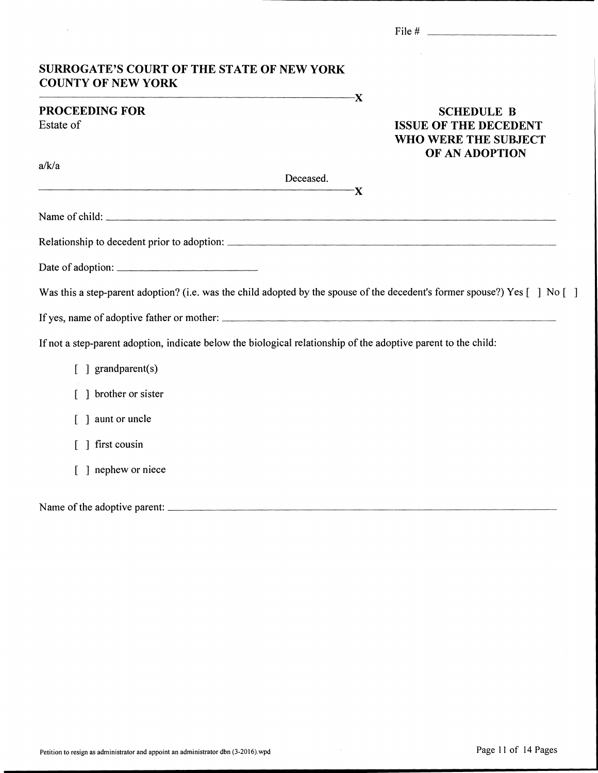| <b>SURROGATE'S COURT OF THE STATE OF NEW YORK</b>                                                                                                                                                                                             |                                                                                             |
|-----------------------------------------------------------------------------------------------------------------------------------------------------------------------------------------------------------------------------------------------|---------------------------------------------------------------------------------------------|
| <b>COUNTY OF NEW YORK</b>                                                                                                                                                                                                                     | $-\mathbf{X}$                                                                               |
| <b>PROCEEDING FOR</b><br>Estate of                                                                                                                                                                                                            | <b>SCHEDULE B</b><br><b>ISSUE OF THE DECEDENT</b><br>WHO WERE THE SUBJECT<br>OF AN ADOPTION |
| a/k/a                                                                                                                                                                                                                                         | Deceased.                                                                                   |
|                                                                                                                                                                                                                                               | -Х                                                                                          |
| Name of child:                                                                                                                                                                                                                                |                                                                                             |
|                                                                                                                                                                                                                                               |                                                                                             |
|                                                                                                                                                                                                                                               |                                                                                             |
|                                                                                                                                                                                                                                               |                                                                                             |
|                                                                                                                                                                                                                                               |                                                                                             |
|                                                                                                                                                                                                                                               |                                                                                             |
| Was this a step-parent adoption? (i.e. was the child adopted by the spouse of the decedent's former spouse?) Yes [ ] No [ ]<br>If not a step-parent adoption, indicate below the biological relationship of the adoptive parent to the child: |                                                                                             |
| $\lceil \cdot \rceil$ grandparent(s)                                                                                                                                                                                                          |                                                                                             |
| [ ] brother or sister                                                                                                                                                                                                                         |                                                                                             |
| aunt or uncle                                                                                                                                                                                                                                 |                                                                                             |
| ] first cousin                                                                                                                                                                                                                                |                                                                                             |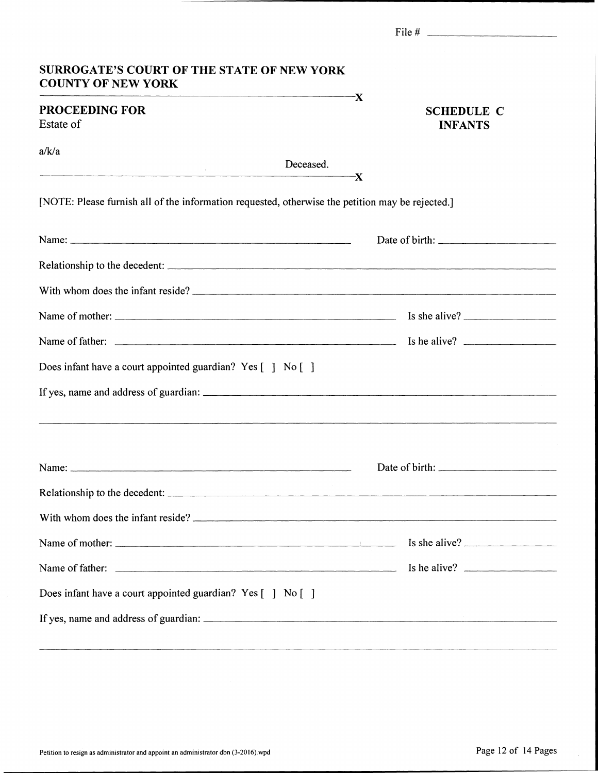| <b>SURROGATE'S COURT OF THE STATE OF NEW YORK</b><br><b>COUNTY OF NEW YORK</b><br>$\overline{\mathbf{x}}$ |                                                                                                                                                                                                                                |
|-----------------------------------------------------------------------------------------------------------|--------------------------------------------------------------------------------------------------------------------------------------------------------------------------------------------------------------------------------|
| <b>PROCEEDING FOR</b><br>Estate of                                                                        | <b>SCHEDULE C</b><br><b>INFANTS</b>                                                                                                                                                                                            |
| a/k/a<br><u> 1989 - Johann Amerikaanse kommunister (* 1950)</u>                                           | Deceased.<br>-X                                                                                                                                                                                                                |
| [NOTE: Please furnish all of the information requested, otherwise the petition may be rejected.]          |                                                                                                                                                                                                                                |
| Name: $\frac{1}{2}$                                                                                       |                                                                                                                                                                                                                                |
|                                                                                                           |                                                                                                                                                                                                                                |
|                                                                                                           |                                                                                                                                                                                                                                |
|                                                                                                           |                                                                                                                                                                                                                                |
|                                                                                                           |                                                                                                                                                                                                                                |
| Does infant have a court appointed guardian? Yes [] No []                                                 |                                                                                                                                                                                                                                |
|                                                                                                           | and the contract of the contract of the contract of the contract of the contract of the contract of the contract of the contract of the contract of the contract of the contract of the contract of the contract of the contra |
|                                                                                                           |                                                                                                                                                                                                                                |
|                                                                                                           |                                                                                                                                                                                                                                |
| With whom does the infant reside?                                                                         |                                                                                                                                                                                                                                |
|                                                                                                           |                                                                                                                                                                                                                                |
|                                                                                                           |                                                                                                                                                                                                                                |
| Does infant have a court appointed guardian? Yes [ ] No [ ]                                               |                                                                                                                                                                                                                                |
|                                                                                                           |                                                                                                                                                                                                                                |

 $\bar{z}$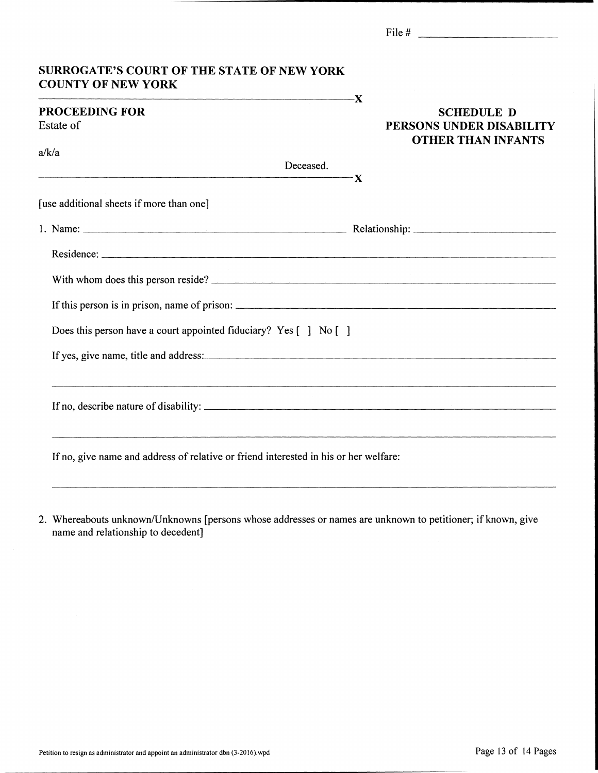| <b>SURROGATE'S COURT OF THE STATE OF NEW YORK</b><br><b>COUNTY OF NEW YORK</b><br>$\overline{\mathbf{X}}$ |                                                                            |
|-----------------------------------------------------------------------------------------------------------|----------------------------------------------------------------------------|
| <b>PROCEEDING FOR</b><br>Estate of<br>a/k/a<br>Deceased.                                                  | <b>SCHEDULE D</b><br>PERSONS UNDER DISABILITY<br><b>OTHER THAN INFANTS</b> |
| $\mathbf{x}$                                                                                              |                                                                            |
| [use additional sheets if more than one]                                                                  |                                                                            |
|                                                                                                           |                                                                            |
|                                                                                                           |                                                                            |
| With whom does this person reside?                                                                        |                                                                            |
| If this person is in prison, name of prison:                                                              |                                                                            |
| Does this person have a court appointed fiduciary? Yes [ ] No [ ]                                         |                                                                            |
|                                                                                                           |                                                                            |
| <u> 1989 - Andrea Andrew Maria (h. 1989).</u>                                                             |                                                                            |
| If no, give name and address of relative or friend interested in his or her welfare:                      |                                                                            |

2. Whereabouts unknown/Unknowns [persons whose addresses or names are unknown to petitioner; if known, give name and relationship to decedent]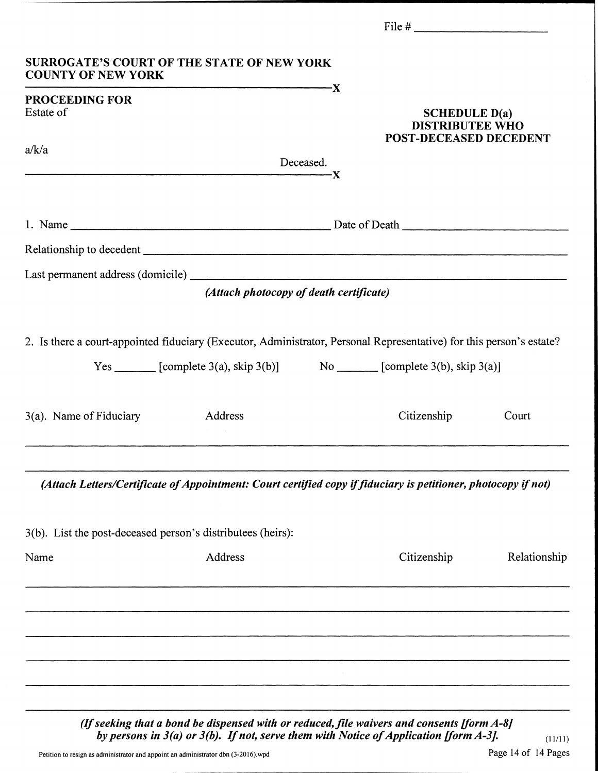| Yes $\begin{array}{c} \begin{array}{c} \text{1.13} \\ \text{2.21} \end{array} \end{array}$ [complete 3(a), skip 3(b)] $\begin{array}{c} \text{No} \\ \text{1.21} \end{array}$ [complete 3(b), skip 3(a)]<br>Citizenship | Court                                                                                                                                                                                                                                         |
|-------------------------------------------------------------------------------------------------------------------------------------------------------------------------------------------------------------------------|-----------------------------------------------------------------------------------------------------------------------------------------------------------------------------------------------------------------------------------------------|
| (Attach Letters/Certificate of Appointment: Court certified copy if fiduciary is petitioner, photocopy if not)                                                                                                          |                                                                                                                                                                                                                                               |
|                                                                                                                                                                                                                         |                                                                                                                                                                                                                                               |
| Citizenship                                                                                                                                                                                                             | Relationship                                                                                                                                                                                                                                  |
|                                                                                                                                                                                                                         |                                                                                                                                                                                                                                               |
|                                                                                                                                                                                                                         |                                                                                                                                                                                                                                               |
|                                                                                                                                                                                                                         |                                                                                                                                                                                                                                               |
|                                                                                                                                                                                                                         |                                                                                                                                                                                                                                               |
|                                                                                                                                                                                                                         |                                                                                                                                                                                                                                               |
|                                                                                                                                                                                                                         | SCHEDULE $D(a)$<br><b>DISTRIBUTEE WHO</b><br><b>POST-DECEASED DECEDENT</b><br>(Attach photocopy of death certificate)<br>2. Is there a court-appointed fiduciary (Executor, Administrator, Personal Representative) for this person's estate? |

(If seeking that a bond be dispensed with or reduced, file waivers and consents [form  $A-8$ ] by persons in  $3(a)$  or  $3(b)$ . If not, serve them with Notice of Application [form  $A-3$ ].

 $(11/11)$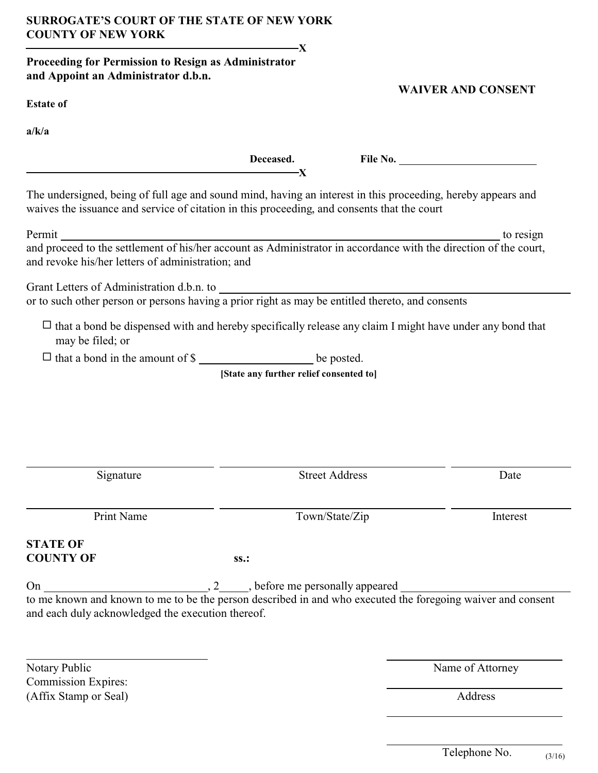# **SURROGATE'S COURT OF THE STATE OF NEW YORK COUNTY OF NEW YORK**

## **Proceeding for Permission to Resign as Administrator and Appoint an Administrator d.b.n.**

 **12**  $\mathbf{X}$ 

### **WAIVER AND CONSENT**

**a/k/a** 

|                                                                                                                                                                                                             | Deceased.<br>-Х                                |                       |                  |
|-------------------------------------------------------------------------------------------------------------------------------------------------------------------------------------------------------------|------------------------------------------------|-----------------------|------------------|
| The undersigned, being of full age and sound mind, having an interest in this proceeding, hereby appears and<br>waives the issuance and service of citation in this proceeding, and consents that the court |                                                |                       |                  |
| Permit<br>and revoke his/her letters of administration; and                                                                                                                                                 |                                                |                       |                  |
|                                                                                                                                                                                                             |                                                |                       |                  |
| $\Box$ that a bond be dispensed with and hereby specifically release any claim I might have under any bond that<br>may be filed; or                                                                         |                                                |                       |                  |
| $\Box$ that a bond in the amount of \$                                                                                                                                                                      |                                                |                       |                  |
|                                                                                                                                                                                                             | [State any further relief consented to]        |                       |                  |
| Signature                                                                                                                                                                                                   |                                                | <b>Street Address</b> | Date             |
| Print Name                                                                                                                                                                                                  |                                                | Town/State/Zip        | Interest         |
| <b>STATE OF</b><br><b>COUNTY OF</b>                                                                                                                                                                         | ss.:                                           |                       |                  |
| On<br>to me known and known to me to be the person described in and who executed the foregoing waiver and consent<br>and each duly acknowledged the execution thereof.                                      | $2 \quad \text{before}$ me personally appeared |                       |                  |
| Notary Public                                                                                                                                                                                               |                                                |                       | Name of Attorney |
| <b>Commission Expires:</b><br>(Affix Stamp or Seal)                                                                                                                                                         |                                                |                       | Address          |